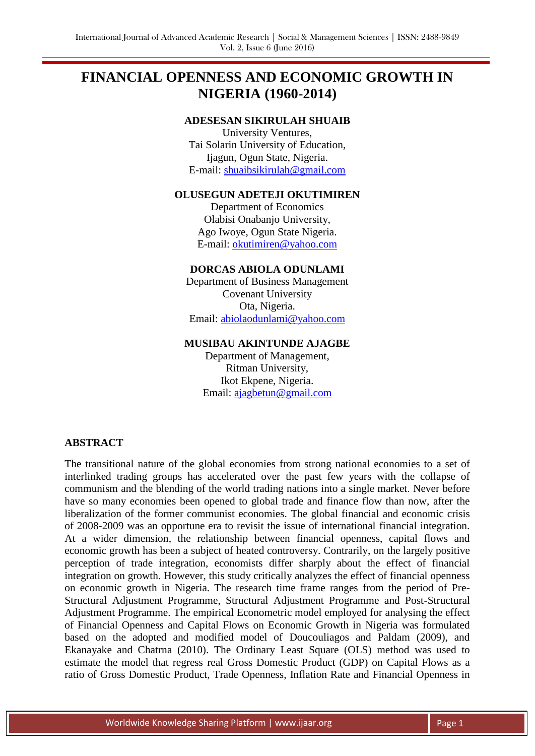# **FINANCIAL OPENNESS AND ECONOMIC GROWTH IN NIGERIA (1960**-**2014)**

### **ADESESAN SIKIRULAH SHUAIB**

University Ventures, Tai Solarin University of Education, Ijagun, Ogun State, Nigeria. E-mail: [shuaibsikirulah@gmail.com](mailto:shuaibsikirulah@gmail.com)

### **OLUSEGUN ADETEJI OKUTIMIREN**

Department of Economics Olabisi Onabanjo University, Ago Iwoye, Ogun State Nigeria. E-mail: [okutimiren@yahoo.com](mailto:okutimiren@yahoo.com)

#### **DORCAS ABIOLA ODUNLAMI**

Department of Business Management Covenant University Ota, Nigeria. Email: [abiolaodunlami@yahoo.com](mailto:abiolaodunlami@yahoo.com)

#### **MUSIBAU AKINTUNDE AJAGBE**

Department of Management, Ritman University, Ikot Ekpene, Nigeria. Email: [ajagbetun@gmail.com](mailto:ajagbetun@gmail.com)

### **ABSTRACT**

The transitional nature of the global economies from strong national economies to a set of interlinked trading groups has accelerated over the past few years with the collapse of communism and the blending of the world trading nations into a single market. Never before have so many economies been opened to global trade and finance flow than now, after the liberalization of the former communist economies. The global financial and economic crisis of 2008-2009 was an opportune era to revisit the issue of international financial integration. At a wider dimension, the relationship between financial openness, capital flows and economic growth has been a subject of heated controversy. Contrarily, on the largely positive perception of trade integration, economists differ sharply about the effect of financial integration on growth. However, this study critically analyzes the effect of financial openness on economic growth in Nigeria. The research time frame ranges from the period of Pre-Structural Adjustment Programme, Structural Adjustment Programme and Post-Structural Adjustment Programme. The empirical Econometric model employed for analysing the effect of Financial Openness and Capital Flows on Economic Growth in Nigeria was formulated based on the adopted and modified model of Doucouliagos and Paldam (2009), and Ekanayake and Chatrna (2010). The Ordinary Least Square (OLS) method was used to estimate the model that regress real Gross Domestic Product (GDP) on Capital Flows as a ratio of Gross Domestic Product, Trade Openness, Inflation Rate and Financial Openness in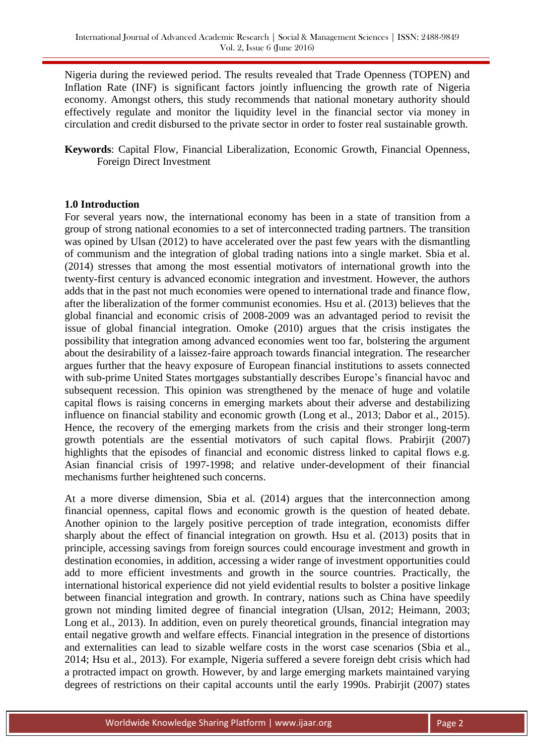Nigeria during the reviewed period. The results revealed that Trade Openness (TOPEN) and Inflation Rate (INF) is significant factors jointly influencing the growth rate of Nigeria economy. Amongst others, this study recommends that national monetary authority should effectively regulate and monitor the liquidity level in the financial sector via money in circulation and credit disbursed to the private sector in order to foster real sustainable growth.

**Keywords**: Capital Flow, Financial Liberalization, Economic Growth, Financial Openness, Foreign Direct Investment

#### **1.0 Introduction**

For several years now, the international economy has been in a state of transition from a group of strong national economies to a set of interconnected trading partners. The transition was opined by Ulsan (2012) to have accelerated over the past few years with the dismantling of communism and the integration of global trading nations into a single market. Sbia et al. (2014) stresses that among the most essential motivators of international growth into the twenty-first century is advanced economic integration and investment. However, the authors adds that in the past not much economies were opened to international trade and finance flow, after the liberalization of the former communist economies. Hsu et al. (2013) believes that the global financial and economic crisis of 2008-2009 was an advantaged period to revisit the issue of global financial integration. Omoke (2010) argues that the crisis instigates the possibility that integration among advanced economies went too far, bolstering the argument about the desirability of a laissez-faire approach towards financial integration. The researcher argues further that the heavy exposure of European financial institutions to assets connected with sub-prime United States mortgages substantially describes Europe's financial havoc and subsequent recession. This opinion was strengthened by the menace of huge and volatile capital flows is raising concerns in emerging markets about their adverse and destabilizing influence on financial stability and economic growth (Long et al., 2013; Dabor et al., 2015). Hence, the recovery of the emerging markets from the crisis and their stronger long-term growth potentials are the essential motivators of such capital flows. Prabirjit (2007) highlights that the episodes of financial and economic distress linked to capital flows e.g. Asian financial crisis of 1997-1998; and relative under-development of their financial mechanisms further heightened such concerns.

At a more diverse dimension, Sbia et al. (2014) argues that the interconnection among financial openness, capital flows and economic growth is the question of heated debate. Another opinion to the largely positive perception of trade integration, economists differ sharply about the effect of financial integration on growth. Hsu et al. (2013) posits that in principle, accessing savings from foreign sources could encourage investment and growth in destination economies, in addition, accessing a wider range of investment opportunities could add to more efficient investments and growth in the source countries. Practically, the international historical experience did not yield evidential results to bolster a positive linkage between financial integration and growth. In contrary, nations such as China have speedily grown not minding limited degree of financial integration (Ulsan, 2012; Heimann, 2003; Long et al., 2013). In addition, even on purely theoretical grounds, financial integration may entail negative growth and welfare effects. Financial integration in the presence of distortions and externalities can lead to sizable welfare costs in the worst case scenarios (Sbia et al., 2014; Hsu et al., 2013). For example, Nigeria suffered a severe foreign debt crisis which had a protracted impact on growth. However, by and large emerging markets maintained varying degrees of restrictions on their capital accounts until the early 1990s. Prabirjit (2007) states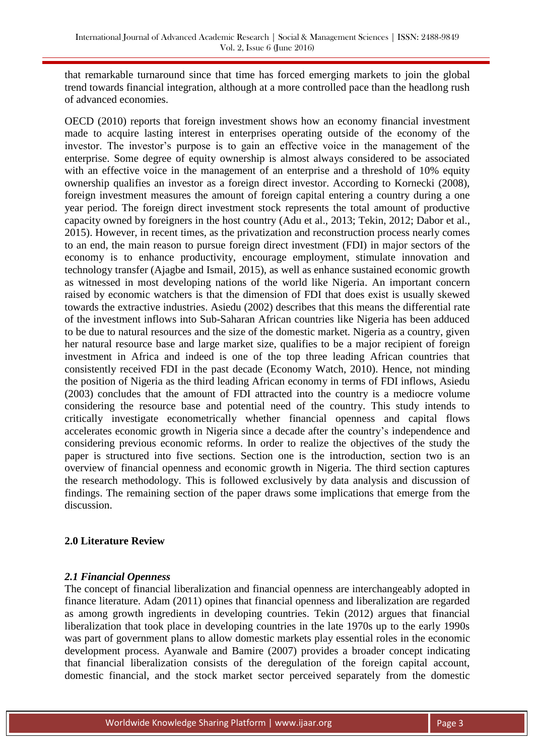that remarkable turnaround since that time has forced emerging markets to join the global trend towards financial integration, although at a more controlled pace than the headlong rush of advanced economies.

OECD (2010) reports that foreign investment shows how an economy financial investment made to acquire lasting interest in enterprises operating outside of the economy of the investor. The investor's purpose is to gain an effective voice in the management of the enterprise. Some degree of equity ownership is almost always considered to be associated with an effective voice in the management of an enterprise and a threshold of 10% equity ownership qualifies an investor as a foreign direct investor. According to Kornecki (2008), foreign investment measures the amount of foreign capital entering a country during a one year period. The foreign direct investment stock represents the total amount of productive capacity owned by foreigners in the host country (Adu et al., 2013; Tekin, 2012; Dabor et al., 2015). However, in recent times, as the privatization and reconstruction process nearly comes to an end, the main reason to pursue foreign direct investment (FDI) in major sectors of the economy is to enhance productivity, encourage employment, stimulate innovation and technology transfer (Ajagbe and Ismail, 2015), as well as enhance sustained economic growth as witnessed in most developing nations of the world like Nigeria. An important concern raised by economic watchers is that the dimension of FDI that does exist is usually skewed towards the extractive industries. Asiedu (2002) describes that this means the differential rate of the investment inflows into Sub-Saharan African countries like Nigeria has been adduced to be due to natural resources and the size of the domestic market. Nigeria as a country, given her natural resource base and large market size, qualifies to be a major recipient of foreign investment in Africa and indeed is one of the top three leading African countries that consistently received FDI in the past decade (Economy Watch, 2010). Hence, not minding the position of Nigeria as the third leading African economy in terms of FDI inflows, Asiedu (2003) concludes that the amount of FDI attracted into the country is a mediocre volume considering the resource base and potential need of the country. This study intends to critically investigate econometrically whether financial openness and capital flows accelerates economic growth in Nigeria since a decade after the country's independence and considering previous economic reforms. In order to realize the objectives of the study the paper is structured into five sections. Section one is the introduction, section two is an overview of financial openness and economic growth in Nigeria. The third section captures the research methodology. This is followed exclusively by data analysis and discussion of findings. The remaining section of the paper draws some implications that emerge from the discussion.

### **2.0 Literature Review**

# *2.1 Financial Openness*

The concept of financial liberalization and financial openness are interchangeably adopted in finance literature. Adam (2011) opines that financial openness and liberalization are regarded as among growth ingredients in developing countries. Tekin (2012) argues that financial liberalization that took place in developing countries in the late 1970s up to the early 1990s was part of government plans to allow domestic markets play essential roles in the economic development process. Ayanwale and Bamire (2007) provides a broader concept indicating that financial liberalization consists of the deregulation of the foreign capital account, domestic financial, and the stock market sector perceived separately from the domestic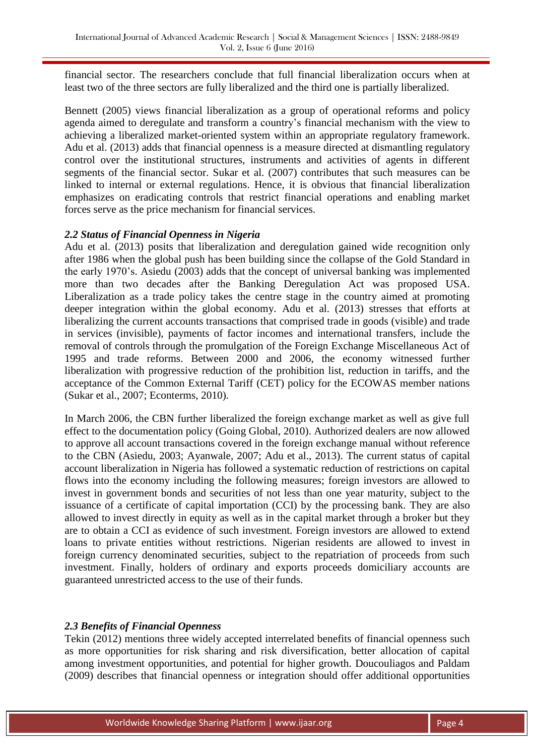financial sector. The researchers conclude that full financial liberalization occurs when at least two of the three sectors are fully liberalized and the third one is partially liberalized.

Bennett (2005) views financial liberalization as a group of operational reforms and policy agenda aimed to deregulate and transform a country's financial mechanism with the view to achieving a liberalized market-oriented system within an appropriate regulatory framework. Adu et al. (2013) adds that financial openness is a measure directed at dismantling regulatory control over the institutional structures, instruments and activities of agents in different segments of the financial sector. Sukar et al. (2007) contributes that such measures can be linked to internal or external regulations. Hence, it is obvious that financial liberalization emphasizes on eradicating controls that restrict financial operations and enabling market forces serve as the price mechanism for financial services.

### *2.2 Status of Financial Openness in Nigeria*

Adu et al. (2013) posits that liberalization and deregulation gained wide recognition only after 1986 when the global push has been building since the collapse of the Gold Standard in the early 1970's. Asiedu (2003) adds that the concept of universal banking was implemented more than two decades after the Banking Deregulation Act was proposed USA. Liberalization as a trade policy takes the centre stage in the country aimed at promoting deeper integration within the global economy. Adu et al. (2013) stresses that efforts at liberalizing the current accounts transactions that comprised trade in goods (visible) and trade in services (invisible), payments of factor incomes and international transfers, include the removal of controls through the promulgation of the Foreign Exchange Miscellaneous Act of 1995 and trade reforms. Between 2000 and 2006, the economy witnessed further liberalization with progressive reduction of the prohibition list, reduction in tariffs, and the acceptance of the Common External Tariff (CET) policy for the ECOWAS member nations (Sukar et al., 2007; Econterms, 2010).

In March 2006, the CBN further liberalized the foreign exchange market as well as give full effect to the documentation policy (Going Global, 2010). Authorized dealers are now allowed to approve all account transactions covered in the foreign exchange manual without reference to the CBN (Asiedu, 2003; Ayanwale, 2007; Adu et al., 2013). The current status of capital account liberalization in Nigeria has followed a systematic reduction of restrictions on capital flows into the economy including the following measures; foreign investors are allowed to invest in government bonds and securities of not less than one year maturity, subject to the issuance of a certificate of capital importation (CCI) by the processing bank. They are also allowed to invest directly in equity as well as in the capital market through a broker but they are to obtain a CCI as evidence of such investment. Foreign investors are allowed to extend loans to private entities without restrictions. Nigerian residents are allowed to invest in foreign currency denominated securities, subject to the repatriation of proceeds from such investment. Finally, holders of ordinary and exports proceeds domiciliary accounts are guaranteed unrestricted access to the use of their funds.

# *2.3 Benefits of Financial Openness*

Tekin (2012) mentions three widely accepted interrelated benefits of financial openness such as more opportunities for risk sharing and risk diversification, better allocation of capital among investment opportunities, and potential for higher growth. Doucouliagos and Paldam (2009) describes that financial openness or integration should offer additional opportunities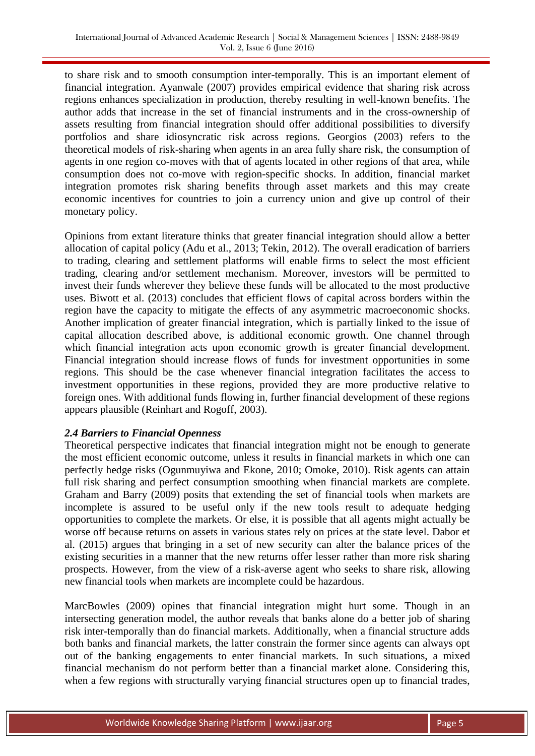to share risk and to smooth consumption inter-temporally. This is an important element of financial integration. Ayanwale (2007) provides empirical evidence that sharing risk across regions enhances specialization in production, thereby resulting in well-known benefits. The author adds that increase in the set of financial instruments and in the cross-ownership of assets resulting from financial integration should offer additional possibilities to diversify portfolios and share idiosyncratic risk across regions. Georgios (2003) refers to the theoretical models of risk-sharing when agents in an area fully share risk, the consumption of agents in one region co-moves with that of agents located in other regions of that area, while consumption does not co-move with region-specific shocks. In addition, financial market integration promotes risk sharing benefits through asset markets and this may create economic incentives for countries to join a currency union and give up control of their monetary policy.

Opinions from extant literature thinks that greater financial integration should allow a better allocation of capital policy (Adu et al., 2013; Tekin, 2012). The overall eradication of barriers to trading, clearing and settlement platforms will enable firms to select the most efficient trading, clearing and/or settlement mechanism. Moreover, investors will be permitted to invest their funds wherever they believe these funds will be allocated to the most productive uses. Biwott et al. (2013) concludes that efficient flows of capital across borders within the region have the capacity to mitigate the effects of any asymmetric macroeconomic shocks. Another implication of greater financial integration, which is partially linked to the issue of capital allocation described above, is additional economic growth. One channel through which financial integration acts upon economic growth is greater financial development. Financial integration should increase flows of funds for investment opportunities in some regions. This should be the case whenever financial integration facilitates the access to investment opportunities in these regions, provided they are more productive relative to foreign ones. With additional funds flowing in, further financial development of these regions appears plausible (Reinhart and Rogoff, 2003).

### *2.4 Barriers to Financial Openness*

Theoretical perspective indicates that financial integration might not be enough to generate the most efficient economic outcome, unless it results in financial markets in which one can perfectly hedge risks (Ogunmuyiwa and Ekone, 2010; Omoke, 2010). Risk agents can attain full risk sharing and perfect consumption smoothing when financial markets are complete. Graham and Barry (2009) posits that extending the set of financial tools when markets are incomplete is assured to be useful only if the new tools result to adequate hedging opportunities to complete the markets. Or else, it is possible that all agents might actually be worse off because returns on assets in various states rely on prices at the state level. Dabor et al. (2015) argues that bringing in a set of new security can alter the balance prices of the existing securities in a manner that the new returns offer lesser rather than more risk sharing prospects. However, from the view of a risk-averse agent who seeks to share risk, allowing new financial tools when markets are incomplete could be hazardous.

MarcBowles (2009) opines that financial integration might hurt some. Though in an intersecting generation model, the author reveals that banks alone do a better job of sharing risk inter-temporally than do financial markets. Additionally, when a financial structure adds both banks and financial markets, the latter constrain the former since agents can always opt out of the banking engagements to enter financial markets. In such situations, a mixed financial mechanism do not perform better than a financial market alone. Considering this, when a few regions with structurally varying financial structures open up to financial trades,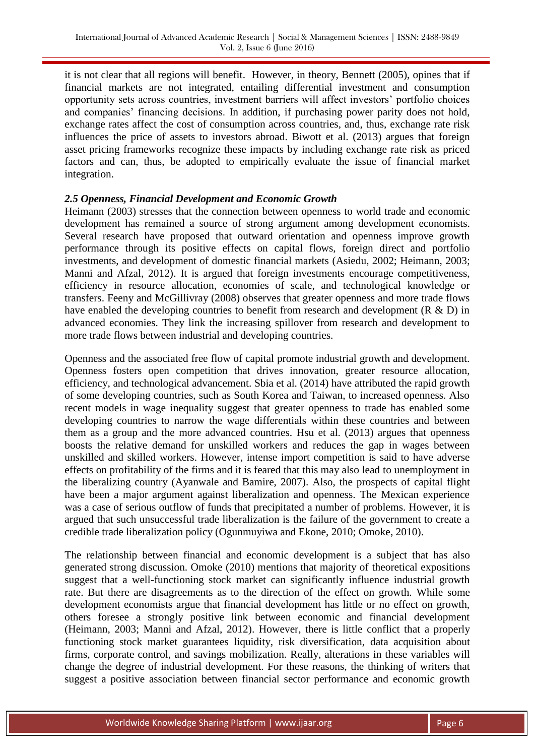it is not clear that all regions will benefit. However, in theory, Bennett (2005), opines that if financial markets are not integrated, entailing differential investment and consumption opportunity sets across countries, investment barriers will affect investors' portfolio choices and companies' financing decisions. In addition, if purchasing power parity does not hold, exchange rates affect the cost of consumption across countries, and, thus, exchange rate risk influences the price of assets to investors abroad. Biwott et al. (2013) argues that foreign asset pricing frameworks recognize these impacts by including exchange rate risk as priced factors and can, thus, be adopted to empirically evaluate the issue of financial market integration.

### *2.5 Openness, Financial Development and Economic Growth*

Heimann (2003) stresses that the connection between openness to world trade and economic development has remained a source of strong argument among development economists. Several research have proposed that outward orientation and openness improve growth performance through its positive effects on capital flows, foreign direct and portfolio investments, and development of domestic financial markets (Asiedu, 2002; Heimann, 2003; Manni and Afzal, 2012). It is argued that foreign investments encourage competitiveness, efficiency in resource allocation, economies of scale, and technological knowledge or transfers. Feeny and McGillivray (2008) observes that greater openness and more trade flows have enabled the developing countries to benefit from research and development (R & D) in advanced economies. They link the increasing spillover from research and development to more trade flows between industrial and developing countries.

Openness and the associated free flow of capital promote industrial growth and development. Openness fosters open competition that drives innovation, greater resource allocation, efficiency, and technological advancement. Sbia et al. (2014) have attributed the rapid growth of some developing countries, such as South Korea and Taiwan, to increased openness. Also recent models in wage inequality suggest that greater openness to trade has enabled some developing countries to narrow the wage differentials within these countries and between them as a group and the more advanced countries. Hsu et al. (2013) argues that openness boosts the relative demand for unskilled workers and reduces the gap in wages between unskilled and skilled workers. However, intense import competition is said to have adverse effects on profitability of the firms and it is feared that this may also lead to unemployment in the liberalizing country (Ayanwale and Bamire, 2007). Also, the prospects of capital flight have been a major argument against liberalization and openness. The Mexican experience was a case of serious outflow of funds that precipitated a number of problems. However, it is argued that such unsuccessful trade liberalization is the failure of the government to create a credible trade liberalization policy (Ogunmuyiwa and Ekone, 2010; Omoke, 2010).

The relationship between financial and economic development is a subject that has also generated strong discussion. Omoke (2010) mentions that majority of theoretical expositions suggest that a well-functioning stock market can significantly influence industrial growth rate. But there are disagreements as to the direction of the effect on growth. While some development economists argue that financial development has little or no effect on growth, others foresee a strongly positive link between economic and financial development (Heimann, 2003; Manni and Afzal, 2012). However, there is little conflict that a properly functioning stock market guarantees liquidity, risk diversification, data acquisition about firms, corporate control, and savings mobilization. Really, alterations in these variables will change the degree of industrial development. For these reasons, the thinking of writers that suggest a positive association between financial sector performance and economic growth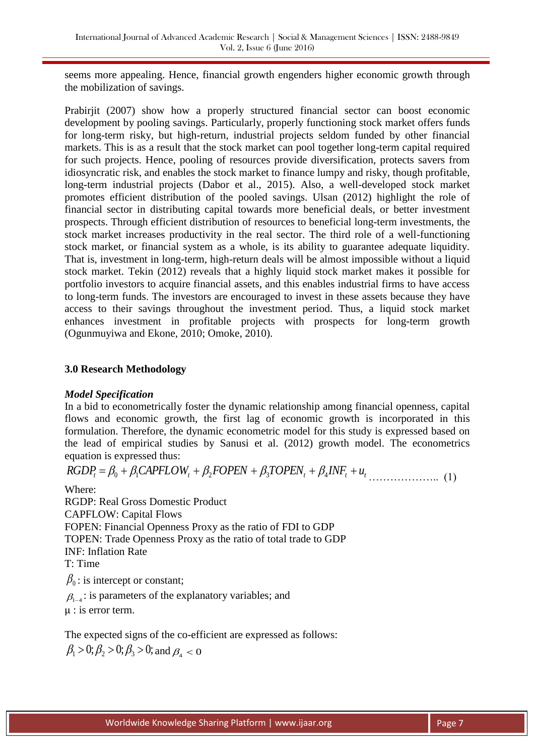seems more appealing. Hence, financial growth engenders higher economic growth through the mobilization of savings.

Prabirjit (2007) show how a properly structured financial sector can boost economic development by pooling savings. Particularly, properly functioning stock market offers funds for long-term risky, but high-return, industrial projects seldom funded by other financial markets. This is as a result that the stock market can pool together long-term capital required for such projects. Hence, pooling of resources provide diversification, protects savers from idiosyncratic risk, and enables the stock market to finance lumpy and risky, though profitable, long-term industrial projects (Dabor et al., 2015). Also, a well-developed stock market promotes efficient distribution of the pooled savings. Ulsan (2012) highlight the role of financial sector in distributing capital towards more beneficial deals, or better investment prospects. Through efficient distribution of resources to beneficial long-term investments, the stock market increases productivity in the real sector. The third role of a well-functioning stock market, or financial system as a whole, is its ability to guarantee adequate liquidity. That is, investment in long-term, high-return deals will be almost impossible without a liquid stock market. Tekin (2012) reveals that a highly liquid stock market makes it possible for portfolio investors to acquire financial assets, and this enables industrial firms to have access to long-term funds. The investors are encouraged to invest in these assets because they have access to their savings throughout the investment period. Thus, a liquid stock market enhances investment in profitable projects with prospects for long-term growth (Ogunmuyiwa and Ekone, 2010; Omoke, 2010).

### **3.0 Research Methodology**

### *Model Specification*

In a bid to econometrically foster the dynamic relationship among financial openness, capital flows and economic growth, the first lag of economic growth is incorporated in this formulation. Therefore, the dynamic econometric model for this study is expressed based on the lead of empirical studies by Sanusi et al. (2012) growth model. The econometrics equation is expressed thus:

$$
RGDP_t = \beta_0 + \beta_1 CAPFLOW_t + \beta_2 FOPEN + \beta_3 TOPEN_t + \beta_4 INF_t + u_t
$$
 (1)

Where:

RGDP: Real Gross Domestic Product CAPFLOW: Capital Flows FOPEN: Financial Openness Proxy as the ratio of FDI to GDP TOPEN: Trade Openness Proxy as the ratio of total trade to GDP INF: Inflation Rate T: Time  $\beta_0$ : is intercept or constant;  $\beta_{1-4}$ : is parameters of the explanatory variables; and

u : is error term.

The expected signs of the co-efficient are expressed as follows:  $\beta_1$  > 0;  $\beta_2$  > 0;  $\beta_3$  > 0; and  $\beta_4$  < 0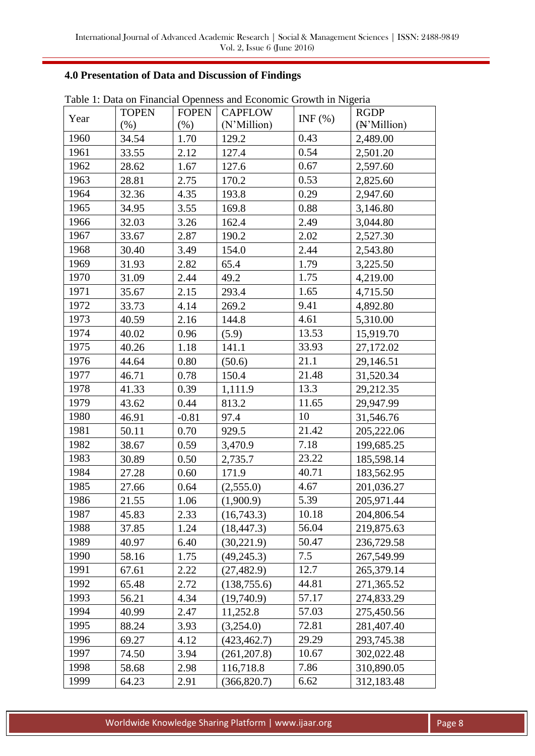# **4.0 Presentation of Data and Discussion of Findings**

|      | <b>TOPEN</b> | <b>FOPEN</b> | racio 1. Daia on 1 manerar Openness and Economic Growar in Fugeria<br><b>CAPFLOW</b> |            | <b>RGDP</b> |
|------|--------------|--------------|--------------------------------------------------------------------------------------|------------|-------------|
| Year | (% )         | (% )         | (N'Million)                                                                          | INF $(\%)$ | (N'Million) |
| 1960 | 34.54        | 1.70         | 129.2                                                                                | 0.43       | 2,489.00    |
| 1961 | 33.55        | 2.12         | 127.4                                                                                | 0.54       | 2,501.20    |
| 1962 | 28.62        | 1.67         | 127.6                                                                                | 0.67       | 2,597.60    |
| 1963 | 28.81        | 2.75         | 170.2                                                                                | 0.53       | 2,825.60    |
| 1964 | 32.36        | 4.35         | 193.8                                                                                | 0.29       | 2,947.60    |
| 1965 | 34.95        | 3.55         | 169.8                                                                                | 0.88       | 3,146.80    |
| 1966 | 32.03        | 3.26         | 162.4                                                                                | 2.49       | 3,044.80    |
| 1967 | 33.67        | 2.87         | 190.2                                                                                | 2.02       | 2,527.30    |
| 1968 | 30.40        | 3.49         | 154.0                                                                                | 2.44       | 2,543.80    |
| 1969 | 31.93        | 2.82         | 65.4                                                                                 | 1.79       | 3,225.50    |
| 1970 | 31.09        | 2.44         | 49.2                                                                                 | 1.75       | 4,219.00    |
| 1971 | 35.67        | 2.15         | 293.4                                                                                | 1.65       | 4,715.50    |
| 1972 | 33.73        | 4.14         | 269.2                                                                                | 9.41       | 4,892.80    |
| 1973 | 40.59        | 2.16         | 144.8                                                                                | 4.61       | 5,310.00    |
| 1974 | 40.02        | 0.96         | (5.9)                                                                                | 13.53      | 15,919.70   |
| 1975 | 40.26        | 1.18         | 141.1                                                                                | 33.93      | 27,172.02   |
| 1976 | 44.64        | 0.80         | (50.6)                                                                               | 21.1       | 29,146.51   |
| 1977 | 46.71        | 0.78         | 150.4                                                                                | 21.48      | 31,520.34   |
| 1978 | 41.33        | 0.39         | 1,111.9                                                                              | 13.3       | 29,212.35   |
| 1979 | 43.62        | 0.44         | 813.2                                                                                | 11.65      | 29,947.99   |
| 1980 | 46.91        | $-0.81$      | 97.4                                                                                 | 10         | 31,546.76   |
| 1981 | 50.11        | 0.70         | 929.5                                                                                | 21.42      | 205,222.06  |
| 1982 | 38.67        | 0.59         | 3,470.9                                                                              | 7.18       | 199,685.25  |
| 1983 | 30.89        | 0.50         | 2,735.7                                                                              | 23.22      | 185,598.14  |
| 1984 | 27.28        | 0.60         | 171.9                                                                                | 40.71      | 183,562.95  |
| 1985 | 27.66        | 0.64         | (2,555.0)                                                                            | 4.67       | 201,036.27  |
| 1986 | 21.55        | 1.06         | (1,900.9)                                                                            | 5.39       | 205,971.44  |
| 1987 | 45.83        | 2.33         | (16,743.3)                                                                           | 10.18      | 204,806.54  |
| 1988 | 37.85        | 1.24         | (18, 447.3)                                                                          | 56.04      | 219,875.63  |
| 1989 | 40.97        | 6.40         | (30, 221.9)                                                                          | 50.47      | 236,729.58  |
| 1990 | 58.16        | 1.75         | (49, 245.3)                                                                          | 7.5        | 267,549.99  |
| 1991 | 67.61        | 2.22         | (27, 482.9)                                                                          | 12.7       | 265,379.14  |
| 1992 | 65.48        | 2.72         | (138, 755.6)                                                                         | 44.81      | 271,365.52  |
| 1993 | 56.21        | 4.34         | (19,740.9)                                                                           | 57.17      | 274,833.29  |
| 1994 | 40.99        | 2.47         | 11,252.8                                                                             | 57.03      | 275,450.56  |
| 1995 | 88.24        | 3.93         | (3,254.0)                                                                            | 72.81      | 281,407.40  |
| 1996 | 69.27        | 4.12         | (423, 462.7)                                                                         | 29.29      | 293,745.38  |
| 1997 | 74.50        | 3.94         | (261, 207.8)                                                                         | 10.67      | 302,022.48  |
| 1998 | 58.68        | 2.98         | 116,718.8                                                                            | 7.86       | 310,890.05  |
| 1999 | 64.23        | 2.91         | (366, 820.7)                                                                         | 6.62       | 312,183.48  |

Table 1: Data on Financial Openness and Economic Growth in Nigeria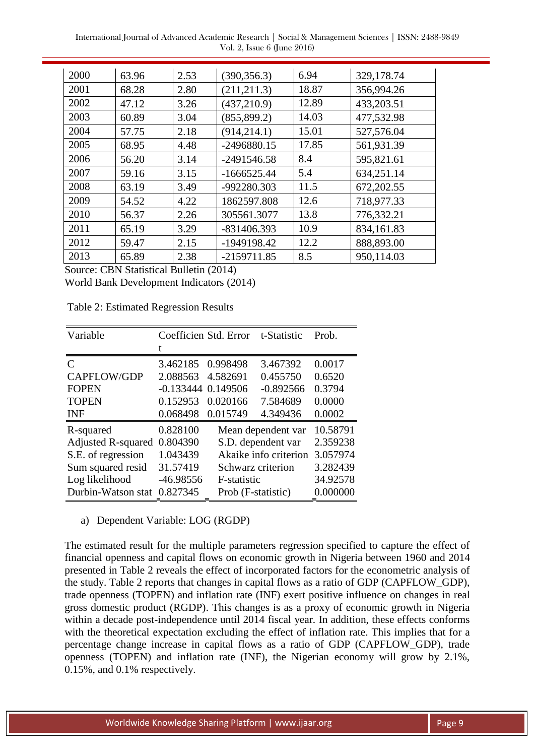| 2000 | 63.96 | 2.53 | (390, 356.3)  | 6.94  | 329,178.74 |
|------|-------|------|---------------|-------|------------|
| 2001 | 68.28 | 2.80 | (211, 211.3)  | 18.87 | 356,994.26 |
| 2002 | 47.12 | 3.26 | (437, 210.9)  | 12.89 | 433,203.51 |
| 2003 | 60.89 | 3.04 | (855, 899.2)  | 14.03 | 477,532.98 |
| 2004 | 57.75 | 2.18 | (914, 214.1)  | 15.01 | 527,576.04 |
| 2005 | 68.95 | 4.48 | $-2496880.15$ | 17.85 | 561,931.39 |
| 2006 | 56.20 | 3.14 | $-2491546.58$ | 8.4   | 595,821.61 |
| 2007 | 59.16 | 3.15 | $-1666525.44$ | 5.4   | 634,251.14 |
| 2008 | 63.19 | 3.49 | -992280.303   | 11.5  | 672,202.55 |
| 2009 | 54.52 | 4.22 | 1862597.808   | 12.6  | 718,977.33 |
| 2010 | 56.37 | 2.26 | 305561.3077   | 13.8  | 776,332.21 |
| 2011 | 65.19 | 3.29 | $-831406.393$ | 10.9  | 834,161.83 |
| 2012 | 59.47 | 2.15 | -1949198.42   | 12.2  | 888,893.00 |
| 2013 | 65.89 | 2.38 | -2159711.85   | 8.5   | 950,114.03 |

Source: CBN Statistical Bulletin (2014) World Bank Development Indicators (2014)

| Table 2: Estimated Regression Results |  |
|---------------------------------------|--|
|---------------------------------------|--|

| Variable                  |                        | Coefficien Std. Error t-Statistic |                       | Prob.    |
|---------------------------|------------------------|-----------------------------------|-----------------------|----------|
|                           |                        |                                   |                       |          |
| $\mathcal{C}$             | 3.462185 0.998498      |                                   | 3.467392              | 0.0017   |
| CAPFLOW/GDP               | 2.088563               | 4.582691                          | 0.455750              | 0.6520   |
| <b>FOPEN</b>              | $-0.133444$ $0.149506$ |                                   | $-0.892566$           | 0.3794   |
| <b>TOPEN</b>              | 0.152953               | 0.020166                          | 7.584689              | 0.0000   |
| <b>INF</b>                | 0.068498               | 0.015749                          | 4.349436              | 0.0002   |
| R-squared                 | 0.828100               |                                   | Mean dependent var    | 10.58791 |
| <b>Adjusted R-squared</b> | 0.804390               |                                   | S.D. dependent var    | 2.359238 |
| S.E. of regression        | 1.043439               |                                   | Akaike info criterion | 3.057974 |
| Sum squared resid         | 31.57419               |                                   | Schwarz criterion     | 3.282439 |
| Log likelihood            | $-46.98556$            | F-statistic                       |                       | 34.92578 |
| Durbin-Watson stat        | 0.827345               | Prob (F-statistic)                |                       | 0.000000 |

### a) Dependent Variable: LOG (RGDP)

The estimated result for the multiple parameters regression specified to capture the effect of financial openness and capital flows on economic growth in Nigeria between 1960 and 2014 presented in Table 2 reveals the effect of incorporated factors for the econometric analysis of the study. Table 2 reports that changes in capital flows as a ratio of GDP (CAPFLOW\_GDP), trade openness (TOPEN) and inflation rate (INF) exert positive influence on changes in real gross domestic product (RGDP). This changes is as a proxy of economic growth in Nigeria within a decade post-independence until 2014 fiscal year. In addition, these effects conforms with the theoretical expectation excluding the effect of inflation rate. This implies that for a percentage change increase in capital flows as a ratio of GDP (CAPFLOW\_GDP), trade openness (TOPEN) and inflation rate (INF), the Nigerian economy will grow by 2.1%, 0.15%, and 0.1% respectively.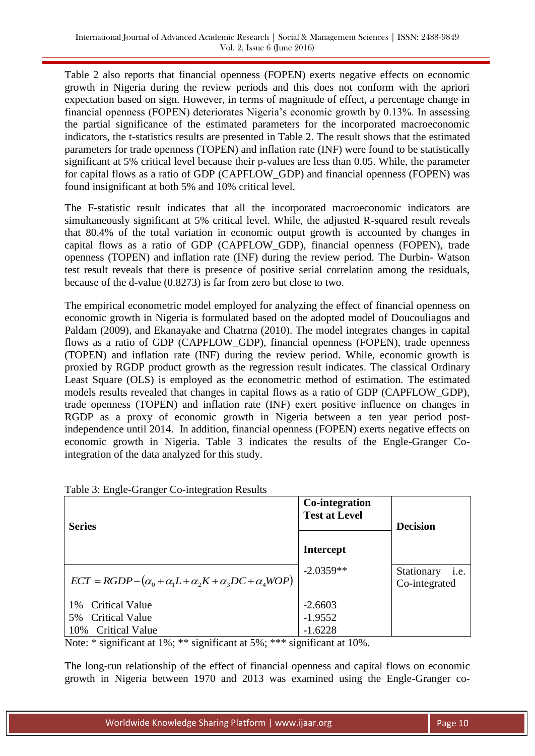Table 2 also reports that financial openness (FOPEN) exerts negative effects on economic growth in Nigeria during the review periods and this does not conform with the apriori expectation based on sign. However, in terms of magnitude of effect, a percentage change in financial openness (FOPEN) deteriorates Nigeria's economic growth by 0.13%. In assessing the partial significance of the estimated parameters for the incorporated macroeconomic indicators, the t-statistics results are presented in Table 2. The result shows that the estimated parameters for trade openness (TOPEN) and inflation rate (INF) were found to be statistically significant at 5% critical level because their p-values are less than 0.05. While, the parameter for capital flows as a ratio of GDP (CAPFLOW\_GDP) and financial openness (FOPEN) was found insignificant at both 5% and 10% critical level.

The F-statistic result indicates that all the incorporated macroeconomic indicators are simultaneously significant at 5% critical level. While, the adjusted R-squared result reveals that 80.4% of the total variation in economic output growth is accounted by changes in capital flows as a ratio of GDP (CAPFLOW\_GDP), financial openness (FOPEN), trade openness (TOPEN) and inflation rate (INF) during the review period. The Durbin- Watson test result reveals that there is presence of positive serial correlation among the residuals, because of the d-value (0.8273) is far from zero but close to two.

The empirical econometric model employed for analyzing the effect of financial openness on economic growth in Nigeria is formulated based on the adopted model of Doucouliagos and Paldam (2009), and Ekanayake and Chatrna (2010). The model integrates changes in capital flows as a ratio of GDP (CAPFLOW\_GDP), financial openness (FOPEN), trade openness (TOPEN) and inflation rate (INF) during the review period. While, economic growth is proxied by RGDP product growth as the regression result indicates. The classical Ordinary Least Square (OLS) is employed as the econometric method of estimation. The estimated models results revealed that changes in capital flows as a ratio of GDP (CAPFLOW\_GDP), trade openness (TOPEN) and inflation rate (INF) exert positive influence on changes in RGDP as a proxy of economic growth in Nigeria between a ten year period postindependence until 2014. In addition, financial openness (FOPEN) exerts negative effects on economic growth in Nigeria. Table 3 indicates the results of the Engle-Granger Cointegration of the data analyzed for this study.

| <b>Series</b>                                                                    | Co-integration<br><b>Test at Level</b> | <b>Decision</b>                     |
|----------------------------------------------------------------------------------|----------------------------------------|-------------------------------------|
|                                                                                  | <b>Intercept</b>                       |                                     |
| $ECT = RGDP - (\alpha_0 + \alpha_1 L + \alpha_2 K + \alpha_3 DC + \alpha_4 WOP)$ | $-2.0359**$                            | i.e.<br>Stationary<br>Co-integrated |
| <b>Critical Value</b><br>$1\%$                                                   | $-2.6603$                              |                                     |
| <b>Critical Value</b><br>.5%                                                     | $-1.9552$                              |                                     |
| <b>Critical Value</b><br>10%                                                     | $-1.6228$                              |                                     |

Table 3: Engle-Granger Co-integration Results

Note: \* significant at 1%; \*\* significant at 5%; \*\*\* significant at 10%.

The long-run relationship of the effect of financial openness and capital flows on economic growth in Nigeria between 1970 and 2013 was examined using the Engle-Granger co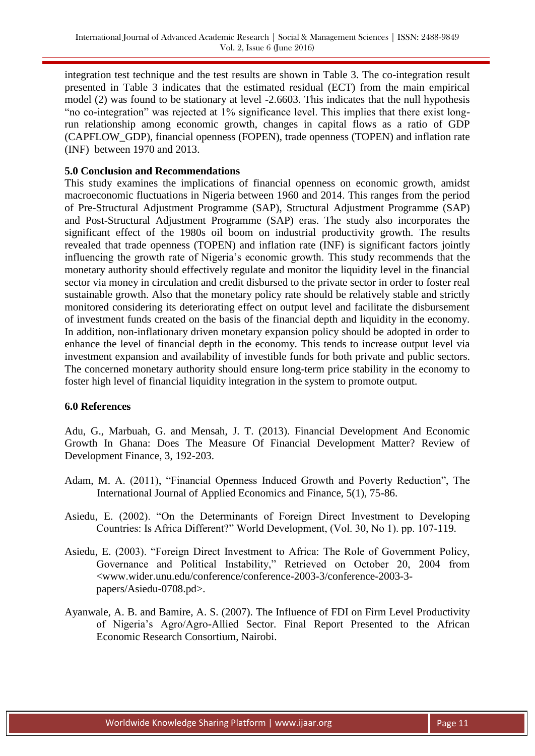integration test technique and the test results are shown in Table 3. The co-integration result presented in Table 3 indicates that the estimated residual (ECT) from the main empirical model (2) was found to be stationary at level -2.6603. This indicates that the null hypothesis "no co-integration" was rejected at 1% significance level. This implies that there exist longrun relationship among economic growth, changes in capital flows as a ratio of GDP (CAPFLOW\_GDP), financial openness (FOPEN), trade openness (TOPEN) and inflation rate (INF) between 1970 and 2013.

### **5.0 Conclusion and Recommendations**

This study examines the implications of financial openness on economic growth, amidst macroeconomic fluctuations in Nigeria between 1960 and 2014. This ranges from the period of Pre-Structural Adjustment Programme (SAP), Structural Adjustment Programme (SAP) and Post-Structural Adjustment Programme (SAP) eras. The study also incorporates the significant effect of the 1980s oil boom on industrial productivity growth. The results revealed that trade openness (TOPEN) and inflation rate (INF) is significant factors jointly influencing the growth rate of Nigeria's economic growth. This study recommends that the monetary authority should effectively regulate and monitor the liquidity level in the financial sector via money in circulation and credit disbursed to the private sector in order to foster real sustainable growth. Also that the monetary policy rate should be relatively stable and strictly monitored considering its deteriorating effect on output level and facilitate the disbursement of investment funds created on the basis of the financial depth and liquidity in the economy. In addition, non-inflationary driven monetary expansion policy should be adopted in order to enhance the level of financial depth in the economy. This tends to increase output level via investment expansion and availability of investible funds for both private and public sectors. The concerned monetary authority should ensure long-term price stability in the economy to foster high level of financial liquidity integration in the system to promote output.

### **6.0 References**

Adu, G., Marbuah, G. and Mensah, J. T. (2013). Financial Development And Economic Growth In Ghana: Does The Measure Of Financial Development Matter? Review of Development Finance, 3, 192-203.

- Adam, M. A. (2011), "Financial Openness Induced Growth and Poverty Reduction", The International Journal of Applied Economics and Finance, 5(1), 75-86.
- Asiedu, E. (2002). "On the Determinants of Foreign Direct Investment to Developing Countries: Is Africa Different?" World Development, (Vol. 30, No 1). pp. 107-119.
- Asiedu, E. (2003). "Foreign Direct Investment to Africa: The Role of Government Policy, Governance and Political Instability," Retrieved on October 20, 2004 from <www.wider.unu.edu/conference/conference-2003-3/conference-2003-3 papers/Asiedu-0708.pd>.
- Ayanwale, A. B. and Bamire, A. S. (2007). The Influence of FDI on Firm Level Productivity of Nigeria's Agro/Agro-Allied Sector. Final Report Presented to the African Economic Research Consortium, Nairobi.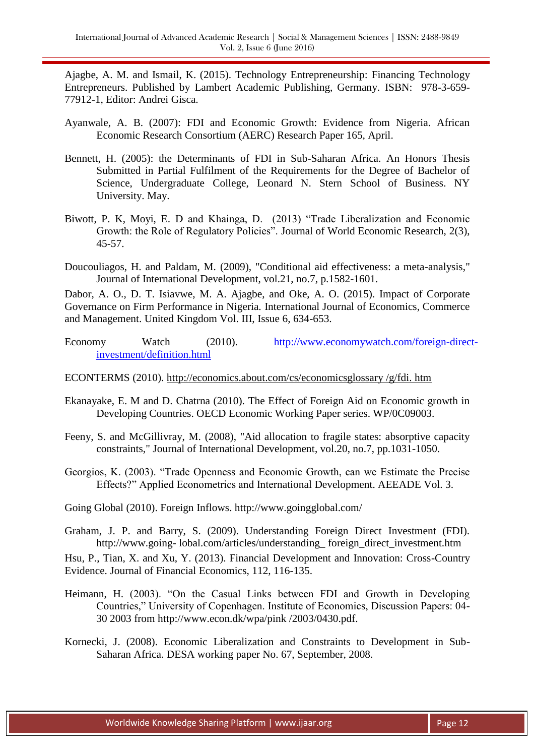Ajagbe, A. M. and Ismail, K. (2015). Technology Entrepreneurship: Financing Technology Entrepreneurs. Published by Lambert Academic Publishing, Germany. ISBN: 978-3-659- 77912-1, Editor: Andrei Gisca.

- Ayanwale, A. B. (2007): FDI and Economic Growth: Evidence from Nigeria. African Economic Research Consortium (AERC) Research Paper 165, April.
- Bennett, H. (2005): the Determinants of FDI in Sub-Saharan Africa. An Honors Thesis Submitted in Partial Fulfilment of the Requirements for the Degree of Bachelor of Science, Undergraduate College, Leonard N. Stern School of Business. NY University. May.
- Biwott, P. K, Moyi, E. D and Khainga, D. (2013) "Trade Liberalization and Economic Growth: the Role of Regulatory Policies". Journal of World Economic Research, 2(3), 45-57.
- Doucouliagos, H. and Paldam, M. (2009), "Conditional aid effectiveness: a meta-analysis," Journal of International Development, vol.21, no.7, p.1582-1601.

Dabor, A. O., D. T. Isiavwe, M. A. Ajagbe, and Oke, A. O. (2015). Impact of Corporate Governance on Firm Performance in Nigeria. International Journal of Economics, Commerce and Management. United Kingdom Vol. III, Issue 6, 634-653.

Economy Watch (2010). [http://www.economywatch.com/foreign-direct](http://www.economywatch.com/foreign-direct-investment/definition.html)[investment/definition.html](http://www.economywatch.com/foreign-direct-investment/definition.html)

ECONTERMS (2010). [http://economics.about.com/cs/economicsglossary /g/fdi. htm](http://economics.about.com/cs/economicsglossary%20/g/fdi.%20htm)

- Ekanayake, E. M and D. Chatrna (2010). The Effect of Foreign Aid on Economic growth in Developing Countries. OECD Economic Working Paper series. WP/0C09003.
- Feeny, S. and McGillivray, M. (2008), "Aid allocation to fragile states: absorptive capacity constraints," Journal of International Development, vol.20, no.7, pp.1031-1050.
- Georgios, K. (2003). "Trade Openness and Economic Growth, can we Estimate the Precise Effects?" Applied Econometrics and International Development. AEEADE Vol. 3.
- Going Global (2010). Foreign Inflows. http://www.goingglobal.com/
- Graham, J. P. and Barry, S. (2009). Understanding Foreign Direct Investment (FDI). http://www.going- lobal.com/articles/understanding\_ foreign\_direct\_investment.htm

Hsu, P., Tian, X. and Xu, Y. (2013). Financial Development and Innovation: Cross-Country Evidence. Journal of Financial Economics, 112, 116-135.

- Heimann, H. (2003). "On the Casual Links between FDI and Growth in Developing Countries," University of Copenhagen. Institute of Economics, Discussion Papers: 04- 30 2003 from [http://www.econ.dk/wpa/pink /2003/0430.pdf.](http://www.econ.dk/wpa/pink/2003/0430.pdf)
- Kornecki, J. (2008). Economic Liberalization and Constraints to Development in Sub-Saharan Africa. DESA working paper No. 67, September, 2008.